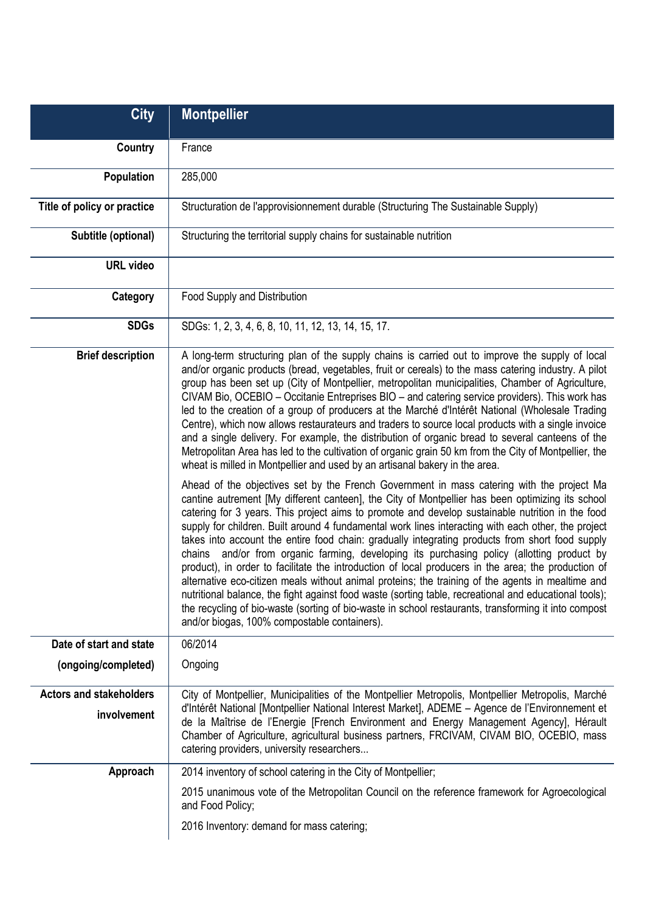| <b>City</b>                                   | <b>Montpellier</b>                                                                                                                                                                                                                                                                                                                                                                                                                                                                                                                                                                                                                                                                                                                                                                                                                                                                                                                                                                                                                                                                      |
|-----------------------------------------------|-----------------------------------------------------------------------------------------------------------------------------------------------------------------------------------------------------------------------------------------------------------------------------------------------------------------------------------------------------------------------------------------------------------------------------------------------------------------------------------------------------------------------------------------------------------------------------------------------------------------------------------------------------------------------------------------------------------------------------------------------------------------------------------------------------------------------------------------------------------------------------------------------------------------------------------------------------------------------------------------------------------------------------------------------------------------------------------------|
| Country                                       | France                                                                                                                                                                                                                                                                                                                                                                                                                                                                                                                                                                                                                                                                                                                                                                                                                                                                                                                                                                                                                                                                                  |
| Population                                    | 285,000                                                                                                                                                                                                                                                                                                                                                                                                                                                                                                                                                                                                                                                                                                                                                                                                                                                                                                                                                                                                                                                                                 |
| Title of policy or practice                   | Structuration de l'approvisionnement durable (Structuring The Sustainable Supply)                                                                                                                                                                                                                                                                                                                                                                                                                                                                                                                                                                                                                                                                                                                                                                                                                                                                                                                                                                                                       |
| Subtitle (optional)                           | Structuring the territorial supply chains for sustainable nutrition                                                                                                                                                                                                                                                                                                                                                                                                                                                                                                                                                                                                                                                                                                                                                                                                                                                                                                                                                                                                                     |
| <b>URL video</b>                              |                                                                                                                                                                                                                                                                                                                                                                                                                                                                                                                                                                                                                                                                                                                                                                                                                                                                                                                                                                                                                                                                                         |
| Category                                      | Food Supply and Distribution                                                                                                                                                                                                                                                                                                                                                                                                                                                                                                                                                                                                                                                                                                                                                                                                                                                                                                                                                                                                                                                            |
| <b>SDGs</b>                                   | SDGs: 1, 2, 3, 4, 6, 8, 10, 11, 12, 13, 14, 15, 17.                                                                                                                                                                                                                                                                                                                                                                                                                                                                                                                                                                                                                                                                                                                                                                                                                                                                                                                                                                                                                                     |
| <b>Brief description</b>                      | A long-term structuring plan of the supply chains is carried out to improve the supply of local<br>and/or organic products (bread, vegetables, fruit or cereals) to the mass catering industry. A pilot<br>group has been set up (City of Montpellier, metropolitan municipalities, Chamber of Agriculture,<br>CIVAM Bio, OCEBIO - Occitanie Entreprises BIO - and catering service providers). This work has<br>led to the creation of a group of producers at the Marché d'Intérêt National (Wholesale Trading<br>Centre), which now allows restaurateurs and traders to source local products with a single invoice<br>and a single delivery. For example, the distribution of organic bread to several canteens of the<br>Metropolitan Area has led to the cultivation of organic grain 50 km from the City of Montpellier, the<br>wheat is milled in Montpellier and used by an artisanal bakery in the area.                                                                                                                                                                      |
|                                               | Ahead of the objectives set by the French Government in mass catering with the project Ma<br>cantine autrement [My different canteen], the City of Montpellier has been optimizing its school<br>catering for 3 years. This project aims to promote and develop sustainable nutrition in the food<br>supply for children. Built around 4 fundamental work lines interacting with each other, the project<br>takes into account the entire food chain: gradually integrating products from short food supply<br>chains and/or from organic farming, developing its purchasing policy (allotting product by<br>product), in order to facilitate the introduction of local producers in the area; the production of<br>alternative eco-citizen meals without animal proteins; the training of the agents in mealtime and<br>nutritional balance, the fight against food waste (sorting table, recreational and educational tools);<br>the recycling of bio-waste (sorting of bio-waste in school restaurants, transforming it into compost<br>and/or biogas, 100% compostable containers). |
| Date of start and state                       | 06/2014                                                                                                                                                                                                                                                                                                                                                                                                                                                                                                                                                                                                                                                                                                                                                                                                                                                                                                                                                                                                                                                                                 |
| (ongoing/completed)                           | Ongoing                                                                                                                                                                                                                                                                                                                                                                                                                                                                                                                                                                                                                                                                                                                                                                                                                                                                                                                                                                                                                                                                                 |
| <b>Actors and stakeholders</b><br>involvement | City of Montpellier, Municipalities of the Montpellier Metropolis, Montpellier Metropolis, Marché<br>d'Intérêt National [Montpellier National Interest Market], ADEME - Agence de l'Environnement et<br>de la Maîtrise de l'Energie [French Environment and Energy Management Agency], Hérault<br>Chamber of Agriculture, agricultural business partners, FRCIVAM, CIVAM BIO, OCEBIO, mass<br>catering providers, university researchers                                                                                                                                                                                                                                                                                                                                                                                                                                                                                                                                                                                                                                                |
| Approach                                      | 2014 inventory of school catering in the City of Montpellier;                                                                                                                                                                                                                                                                                                                                                                                                                                                                                                                                                                                                                                                                                                                                                                                                                                                                                                                                                                                                                           |
|                                               | 2015 unanimous vote of the Metropolitan Council on the reference framework for Agroecological<br>and Food Policy;                                                                                                                                                                                                                                                                                                                                                                                                                                                                                                                                                                                                                                                                                                                                                                                                                                                                                                                                                                       |
|                                               | 2016 Inventory: demand for mass catering;                                                                                                                                                                                                                                                                                                                                                                                                                                                                                                                                                                                                                                                                                                                                                                                                                                                                                                                                                                                                                                               |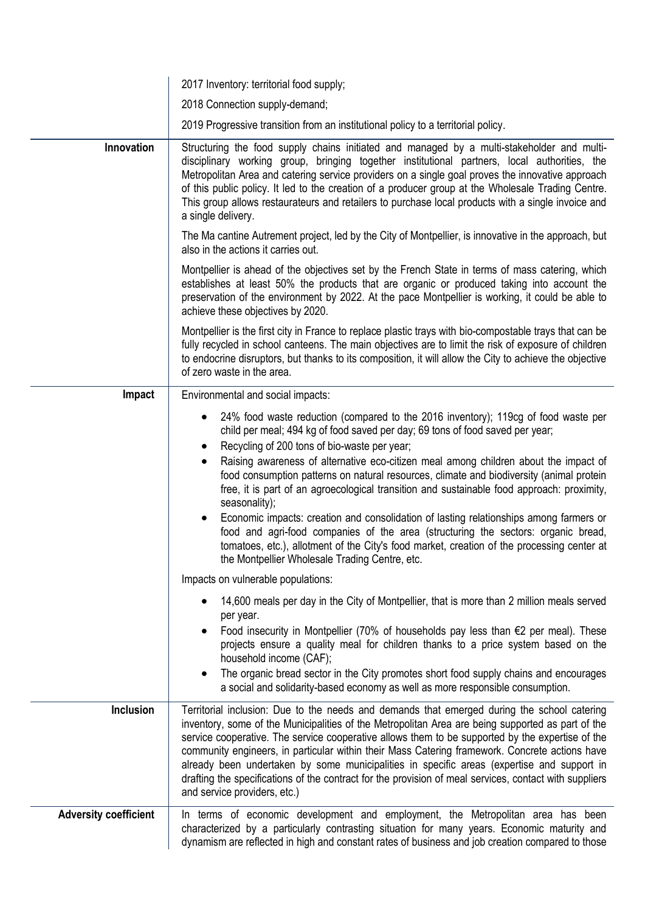|                              | 2017 Inventory: territorial food supply;                                                                                                                                                                                                                                                                                                                                                                                                                                                                                                                                                                                                                                                                                                                                                                                                                             |
|------------------------------|----------------------------------------------------------------------------------------------------------------------------------------------------------------------------------------------------------------------------------------------------------------------------------------------------------------------------------------------------------------------------------------------------------------------------------------------------------------------------------------------------------------------------------------------------------------------------------------------------------------------------------------------------------------------------------------------------------------------------------------------------------------------------------------------------------------------------------------------------------------------|
|                              | 2018 Connection supply-demand;                                                                                                                                                                                                                                                                                                                                                                                                                                                                                                                                                                                                                                                                                                                                                                                                                                       |
|                              | 2019 Progressive transition from an institutional policy to a territorial policy.                                                                                                                                                                                                                                                                                                                                                                                                                                                                                                                                                                                                                                                                                                                                                                                    |
| Innovation                   | Structuring the food supply chains initiated and managed by a multi-stakeholder and multi-<br>disciplinary working group, bringing together institutional partners, local authorities, the<br>Metropolitan Area and catering service providers on a single goal proves the innovative approach<br>of this public policy. It led to the creation of a producer group at the Wholesale Trading Centre.<br>This group allows restaurateurs and retailers to purchase local products with a single invoice and<br>a single delivery.                                                                                                                                                                                                                                                                                                                                     |
|                              | The Ma cantine Autrement project, led by the City of Montpellier, is innovative in the approach, but<br>also in the actions it carries out.                                                                                                                                                                                                                                                                                                                                                                                                                                                                                                                                                                                                                                                                                                                          |
|                              | Montpellier is ahead of the objectives set by the French State in terms of mass catering, which<br>establishes at least 50% the products that are organic or produced taking into account the<br>preservation of the environment by 2022. At the pace Montpellier is working, it could be able to<br>achieve these objectives by 2020.                                                                                                                                                                                                                                                                                                                                                                                                                                                                                                                               |
|                              | Montpellier is the first city in France to replace plastic trays with bio-compostable trays that can be<br>fully recycled in school canteens. The main objectives are to limit the risk of exposure of children<br>to endocrine disruptors, but thanks to its composition, it will allow the City to achieve the objective<br>of zero waste in the area.                                                                                                                                                                                                                                                                                                                                                                                                                                                                                                             |
| Impact                       | Environmental and social impacts:                                                                                                                                                                                                                                                                                                                                                                                                                                                                                                                                                                                                                                                                                                                                                                                                                                    |
|                              | 24% food waste reduction (compared to the 2016 inventory); 119cg of food waste per<br>٠<br>child per meal; 494 kg of food saved per day; 69 tons of food saved per year;<br>Recycling of 200 tons of bio-waste per year;<br>Raising awareness of alternative eco-citizen meal among children about the impact of<br>٠<br>food consumption patterns on natural resources, climate and biodiversity (animal protein<br>free, it is part of an agroecological transition and sustainable food approach: proximity,<br>seasonality);<br>Economic impacts: creation and consolidation of lasting relationships among farmers or<br>٠<br>food and agri-food companies of the area (structuring the sectors: organic bread,<br>tomatoes, etc.), allotment of the City's food market, creation of the processing center at<br>the Montpellier Wholesale Trading Centre, etc. |
|                              | Impacts on vulnerable populations:                                                                                                                                                                                                                                                                                                                                                                                                                                                                                                                                                                                                                                                                                                                                                                                                                                   |
|                              | 14,600 meals per day in the City of Montpellier, that is more than 2 million meals served<br>per year.<br>Food insecurity in Montpellier (70% of households pay less than $\epsilon$ 2 per meal). These<br>projects ensure a quality meal for children thanks to a price system based on the<br>household income (CAF);<br>The organic bread sector in the City promotes short food supply chains and encourages<br>a social and solidarity-based economy as well as more responsible consumption.                                                                                                                                                                                                                                                                                                                                                                   |
| Inclusion                    | Territorial inclusion: Due to the needs and demands that emerged during the school catering<br>inventory, some of the Municipalities of the Metropolitan Area are being supported as part of the<br>service cooperative. The service cooperative allows them to be supported by the expertise of the<br>community engineers, in particular within their Mass Catering framework. Concrete actions have<br>already been undertaken by some municipalities in specific areas (expertise and support in<br>drafting the specifications of the contract for the provision of meal services, contact with suppliers<br>and service providers, etc.)                                                                                                                                                                                                                       |
| <b>Adversity coefficient</b> | In terms of economic development and employment, the Metropolitan area has been<br>characterized by a particularly contrasting situation for many years. Economic maturity and<br>dynamism are reflected in high and constant rates of business and job creation compared to those                                                                                                                                                                                                                                                                                                                                                                                                                                                                                                                                                                                   |